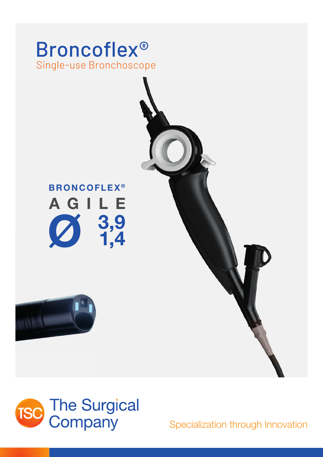

# **BRONCOFLEX®** AGILE  $\begin{array}{c} 3,9 \\ 1,4 \end{array}$





Specialization through Innovation